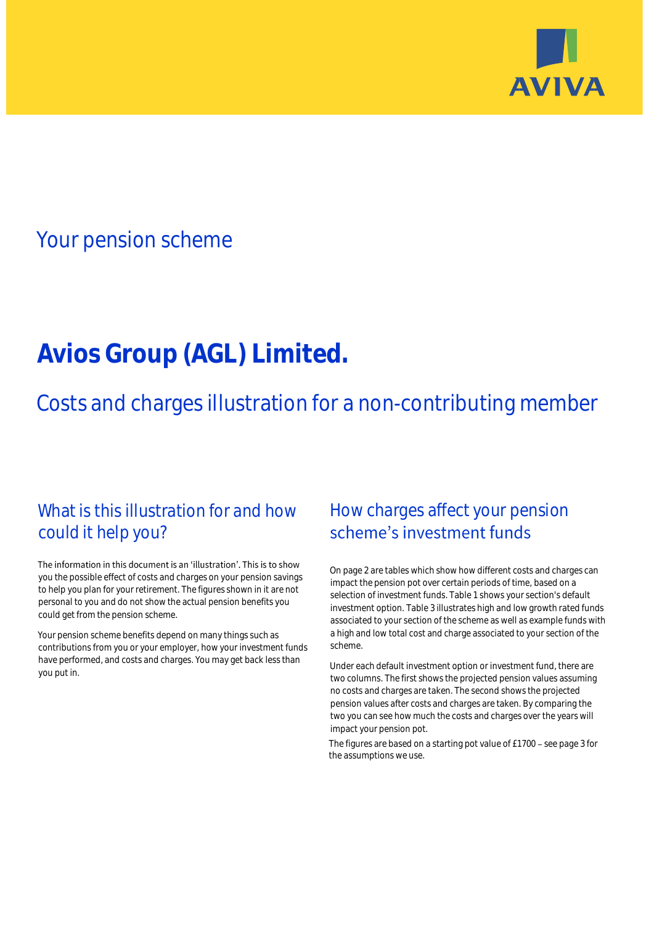

# Your pension scheme

# **Avios Group (AGL) Limited.**

Costs and charges illustration for a non-contributing member

# What is this illustration for and how could it help you?

### The information in this document is an 'illustration'. This is to show you the possible effect of costs and charges on your pension savings to help you plan for your retirement. The figures shown in it are not personal to you and do not show the actual pension benefits you could get from the pension scheme.

Your pension scheme benefits depend on many things such as contributions from you or your employer, how your investment funds have performed, and costs and charges. You may get back less than you put in.

# How charges affect your pension scheme's investment funds

On page 2 are tables which show how different costs and charges can impact the pension pot over certain periods of time, based on a selection of investment funds. Table 1 shows your section's default investment option. Table 3 illustrates high and low growth rated funds associated to your section of the scheme as well as example funds with a high and low total cost and charge associated to your section of the scheme.

Under each default investment option or investment fund, there are two columns. The first shows the projected pension values assuming no costs and charges are taken. The second shows the projected pension values after costs and charges are taken. By comparing the two you can see how much the costs and charges over the years will impact your pension pot.

The figures are based on a starting pot value of  $£1700 -$  see page 3 for the assumptions we use.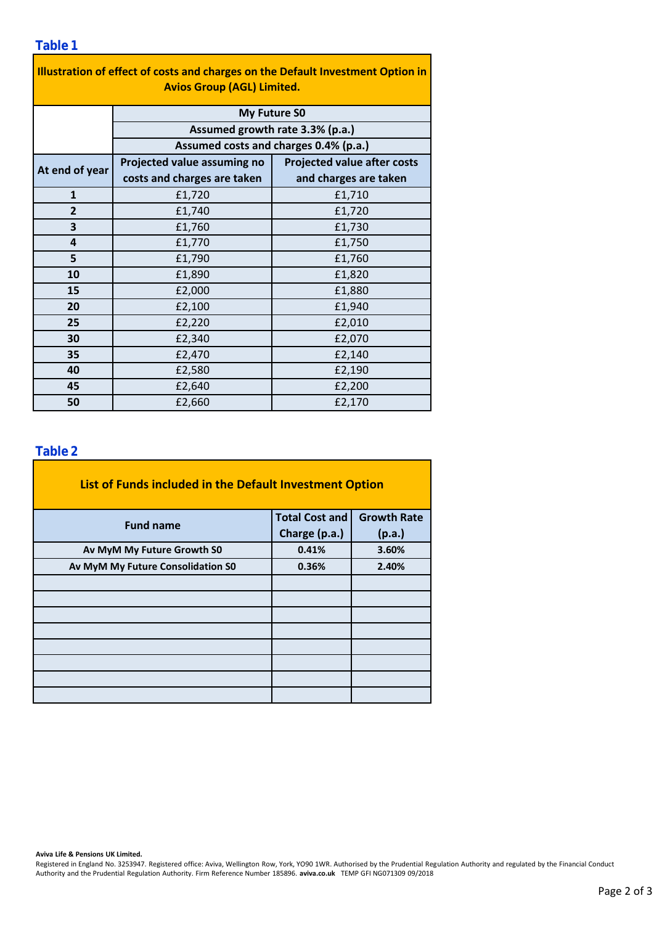### **Table 1**

| Illustration of effect of costs and charges on the Default Investment Option in |                                                                                                 |                                    |  |  |  |  |  |  |  |
|---------------------------------------------------------------------------------|-------------------------------------------------------------------------------------------------|------------------------------------|--|--|--|--|--|--|--|
| <b>Avios Group (AGL) Limited.</b>                                               |                                                                                                 |                                    |  |  |  |  |  |  |  |
|                                                                                 | <b>My Future SO</b><br>Assumed growth rate 3.3% (p.a.)<br>Assumed costs and charges 0.4% (p.a.) |                                    |  |  |  |  |  |  |  |
|                                                                                 |                                                                                                 |                                    |  |  |  |  |  |  |  |
|                                                                                 |                                                                                                 |                                    |  |  |  |  |  |  |  |
| At end of year                                                                  | Projected value assuming no                                                                     | <b>Projected value after costs</b> |  |  |  |  |  |  |  |
|                                                                                 | costs and charges are taken                                                                     | and charges are taken              |  |  |  |  |  |  |  |
| $\mathbf{1}$                                                                    | £1,720                                                                                          | £1,710                             |  |  |  |  |  |  |  |
| $\overline{2}$                                                                  | £1,740                                                                                          | £1,720                             |  |  |  |  |  |  |  |
| 3                                                                               | £1,760                                                                                          | £1,730                             |  |  |  |  |  |  |  |
| 4                                                                               | £1,770                                                                                          | £1,750                             |  |  |  |  |  |  |  |
| 5                                                                               | £1,790                                                                                          | £1,760                             |  |  |  |  |  |  |  |
| 10                                                                              | £1,890                                                                                          | £1,820                             |  |  |  |  |  |  |  |
| 15                                                                              | £2,000                                                                                          | £1,880                             |  |  |  |  |  |  |  |
| 20                                                                              | £2,100                                                                                          | £1,940                             |  |  |  |  |  |  |  |
| 25                                                                              | £2,220                                                                                          | £2,010                             |  |  |  |  |  |  |  |
| 30                                                                              | £2,340                                                                                          | £2,070                             |  |  |  |  |  |  |  |
| 35                                                                              | £2,470                                                                                          | £2,140                             |  |  |  |  |  |  |  |
| 40                                                                              | £2,580                                                                                          | £2,190                             |  |  |  |  |  |  |  |
| 45                                                                              | £2,640                                                                                          | £2,200                             |  |  |  |  |  |  |  |
| 50                                                                              | £2,660                                                                                          | £2,170                             |  |  |  |  |  |  |  |

### **Table 2**

| List of Funds included in the Default Investment Option |                       |                    |  |  |  |  |  |  |
|---------------------------------------------------------|-----------------------|--------------------|--|--|--|--|--|--|
| <b>Fund name</b>                                        | <b>Total Cost and</b> | <b>Growth Rate</b> |  |  |  |  |  |  |
|                                                         | Charge (p.a.)         | (p.a.)             |  |  |  |  |  |  |
| Av MyM My Future Growth S0                              | 0.41%                 | 3.60%              |  |  |  |  |  |  |
| Av MyM My Future Consolidation S0                       | 0.36%                 | 2.40%              |  |  |  |  |  |  |
|                                                         |                       |                    |  |  |  |  |  |  |
|                                                         |                       |                    |  |  |  |  |  |  |
|                                                         |                       |                    |  |  |  |  |  |  |
|                                                         |                       |                    |  |  |  |  |  |  |
|                                                         |                       |                    |  |  |  |  |  |  |
|                                                         |                       |                    |  |  |  |  |  |  |
|                                                         |                       |                    |  |  |  |  |  |  |
|                                                         |                       |                    |  |  |  |  |  |  |

#### **Aviva Life & Pensions UK Limited.**

Registered in England No. 3253947. Registered office: Aviva, Wellington Row, York, YO90 1WR. Authorised by the Prudential Regulation Authority and regulated by the Financial Conduct Authority and the Prudential Regulation Authority. Firm Reference Number 185896. **aviva.co.uk** TEMP GFI NG071309 09/2018